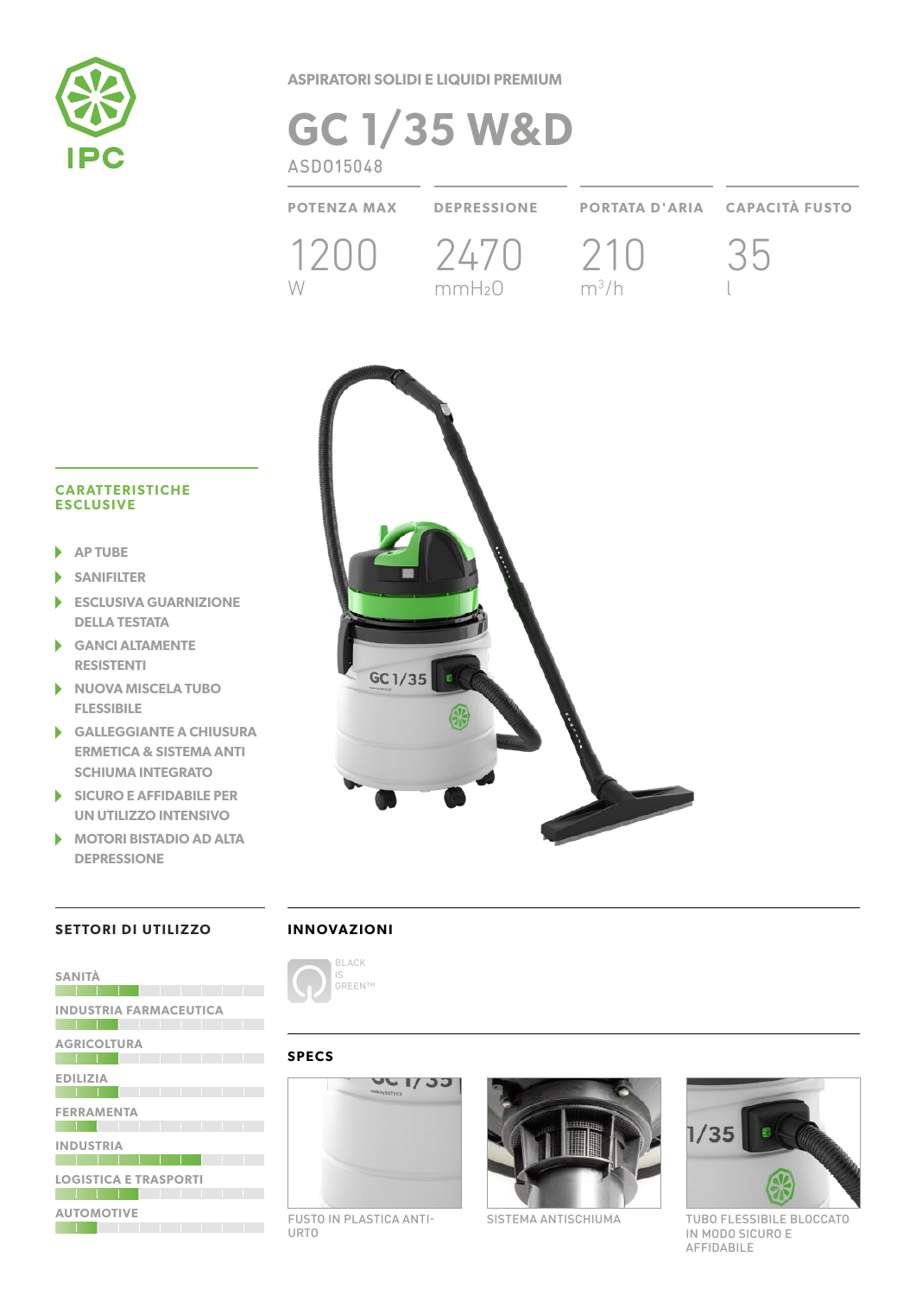

**ASPIRATORI SOLIDI E LIQUIDI PREMIUM**

# **GC 1/35 W&D** ASDO15048

**POTENZA MAX DEPRESSIONE PORTATA D'ARIA CAPACITÀ FUSTO** 1200 2470 210 W mmH2O  $m^3/h$ 35 l



#### **CARATTERISTICHE ESCLUSIVE**

- **AP TUBE** ь
- b **SANIFILTER**
- **ESCLUSIVA GUARNIZIONE DELLA TESTATA**
- **GANCI ALTAMENTE RESISTENTI**
- **NUOVA MISCELA TUBO**  ь **FLESSIBILE**
- **GALLEGGIANTE A CHIUSURA ERMETICA & SISTEMA ANTI SCHIUMA INTEGRATO**
- **SICURO E AFFIDABILE PER**  ь **UN UTILIZZO INTENSIVO**
- **MOTORI BISTADIO AD ALTA DEPRESSIONE**

**SANITÀ**

**AUTOMOTIVE**

## **SETTORI DI UTILIZZO**

**INDUSTRIA FARMACEUTICA**

**AGRICOLTURA**

**INDUSTRIA**

**EDILIZIA**

<u> La Carlo de la Carlo de la Carlo de la Carlo de la Carlo de la Carlo de la Carlo de la Carlo de la Carlo de l</u>

**FERRAMENTA**

**LOGISTICA E TRASPORTI**

**The Line Line Line (Committee Line Line** 

**BELLEVIA DE LES PORTES DE LA CALIF** 

|  |  |  |  | INNOVAZIONI |  |  |  |  |  |  |
|--|--|--|--|-------------|--|--|--|--|--|--|
|--|--|--|--|-------------|--|--|--|--|--|--|



#### **SPECS**



FUSTO IN PLASTICA ANTI-URTO



SISTEMA ANTISCHIUMA



TUBO FLESSIBILE BLOCCATO IN MODO SICURO E AFFIDABILE